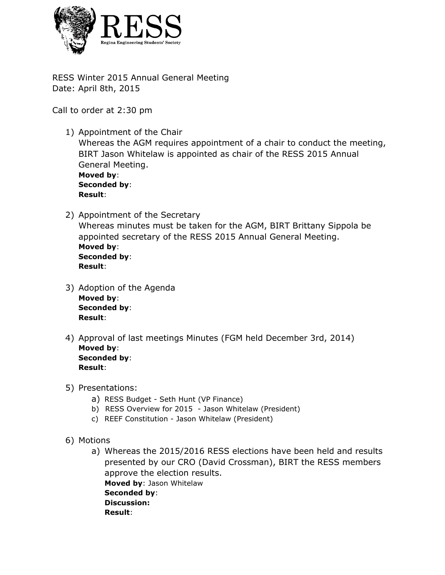

RESS Winter 2015 Annual General Meeting Date: April 8th, 2015

Call to order at 2:30 pm

- 1) Appointment of the Chair Whereas the AGM requires appointment of a chair to conduct the meeting, BIRT Jason Whitelaw is appointed as chair of the RESS 2015 Annual General Meeting. **Moved by**: **Seconded by**: **Result**:
- 2) Appointment of the Secretary Whereas minutes must be taken for the AGM, BIRT Brittany Sippola be appointed secretary of the RESS 2015 Annual General Meeting. **Moved by**: **Seconded by**: **Result**:
- 3) Adoption of the Agenda **Moved by**: **Seconded by**: **Result**:
- 4) Approval of last meetings Minutes (FGM held December 3rd, 2014) **Moved by**: **Seconded by**: **Result**:
- 5) Presentations:
	- a) RESS Budget Seth Hunt (VP Finance)
	- b) RESS Overview for 2015 Jason Whitelaw (President)
	- c) REEF Constitution Jason Whitelaw (President)
- 6) Motions
	- a) Whereas the 2015/2016 RESS elections have been held and results presented by our CRO (David Crossman), BIRT the RESS members approve the election results. **Moved by**: Jason Whitelaw **Seconded by**: **Discussion: Result**: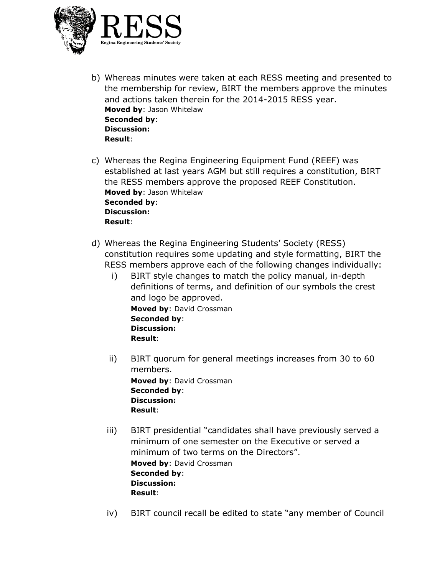

- b) Whereas minutes were taken at each RESS meeting and presented to the membership for review, BIRT the members approve the minutes and actions taken therein for the 2014-2015 RESS year. **Moved by**: Jason Whitelaw **Seconded by**: **Discussion: Result**:
- c) Whereas the Regina Engineering Equipment Fund (REEF) was established at last years AGM but still requires a constitution, BIRT the RESS members approve the proposed REEF Constitution. **Moved by**: Jason Whitelaw **Seconded by**: **Discussion: Result**:
- d) Whereas the Regina Engineering Students' Society (RESS) constitution requires some updating and style formatting, BIRT the RESS members approve each of the following changes individually:
	- i) BIRT style changes to match the policy manual, in-depth definitions of terms, and definition of our symbols the crest and logo be approved. **Moved by**: David Crossman **Seconded by**: **Discussion:**
		- **Result**:
	- ii) BIRT quorum for general meetings increases from 30 to 60 members. **Moved by**: David Crossman **Seconded by**: **Discussion: Result**:
	- iii) BIRT presidential "candidates shall have previously served a minimum of one semester on the Executive or served a minimum of two terms on the Directors". **Moved by**: David Crossman **Seconded by**: **Discussion: Result**:
	- iv) BIRT council recall be edited to state "any member of Council